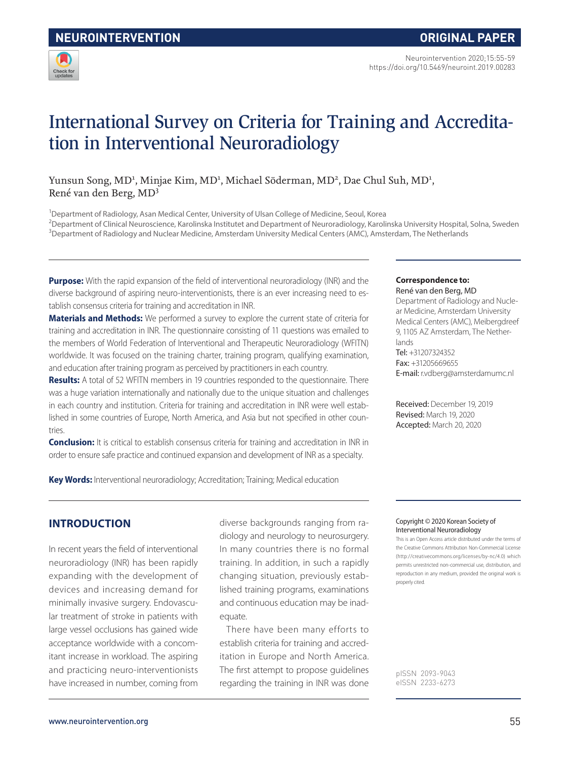

# International Survey on Criteria for Training and Accreditation in Interventional Neuroradiology

Yunsun Song, MD<sup>1</sup>, Minjae Kim, MD<sup>1</sup>, Michael Söderman, MD<sup>2</sup>, Dae Chul Suh, MD<sup>1</sup>, René van den Berg, MD<sup>3</sup>

<sup>1</sup>Department of Radiology, Asan Medical Center, University of Ulsan College of Medicine, Seoul, Korea

<sup>2</sup>Department of Clinical Neuroscience, Karolinska Institutet and Department of Neuroradiology, Karolinska University Hospital, Solna, Sweden <sup>3</sup>Department of Radiology and Nuclear Medicine, Amsterdam University Medical Centers (AMC), Amsterdam, The Netherlands

**Purpose:** With the rapid expansion of the field of interventional neuroradiology (INR) and the diverse background of aspiring neuro-interventionists, there is an ever increasing need to establish consensus criteria for training and accreditation in INR.

**Materials and Methods:** We performed a survey to explore the current state of criteria for training and accreditation in INR. The questionnaire consisting of 11 questions was emailed to the members of World Federation of Interventional and Therapeutic Neuroradiology (WFITN) worldwide. It was focused on the training charter, training program, qualifying examination, and education after training program as perceived by practitioners in each country.

**Results:** A total of 52 WFITN members in 19 countries responded to the questionnaire. There was a huge variation internationally and nationally due to the unique situation and challenges in each country and institution. Criteria for training and accreditation in INR were well established in some countries of Europe, North America, and Asia but not specified in other countries.

**Conclusion:** It is critical to establish consensus criteria for training and accreditation in INR in order to ensure safe practice and continued expansion and development of INR as a specialty.

**Key Words:** Interventional neuroradiology; Accreditation; Training; Medical education

#### **Correspondence to:** René van den Berg, MD

Department of Radiology and Nuclear Medicine, Amsterdam University Medical Centers (AMC), Meibergdreef 9, 1105 AZ Amsterdam, The Netherlands  $Tel: +31207324352$ Fax: +31205669655 E-mail: r.vdberg@amsterdamumc.nl

Received: December 19, 2019 Revised: March 19, 2020 Accepted: March 20, 2020

### **INTRODUCTION**

In recent years the field of interventional neuroradiology (INR) has been rapidly expanding with the development of devices and increasing demand for minimally invasive surgery. Endovascular treatment of stroke in patients with large vessel occlusions has gained wide acceptance worldwide with a concomitant increase in workload. The aspiring and practicing neuro-interventionists have increased in number, coming from

diverse backgrounds ranging from radiology and neurology to neurosurgery. In many countries there is no formal training. In addition, in such a rapidly changing situation, previously established training programs, examinations and continuous education may be inadequate.

There have been many efforts to establish criteria for training and accreditation in Europe and North America. The first attempt to propose guidelines regarding the training in INR was done

#### Copyright © 2020 Korean Society of Interventional Neuroradiology

This is an Open Access article distributed under the terms of the Creative Commons Attribution Non-Commercial License (http://creativecommons.org/licenses/by-nc/4.0) which permits unrestricted non-commercial use, distribution, and reproduction in any medium, provided the original work is properly cited.

pISSN 2093-9043 eISSN 2233-6273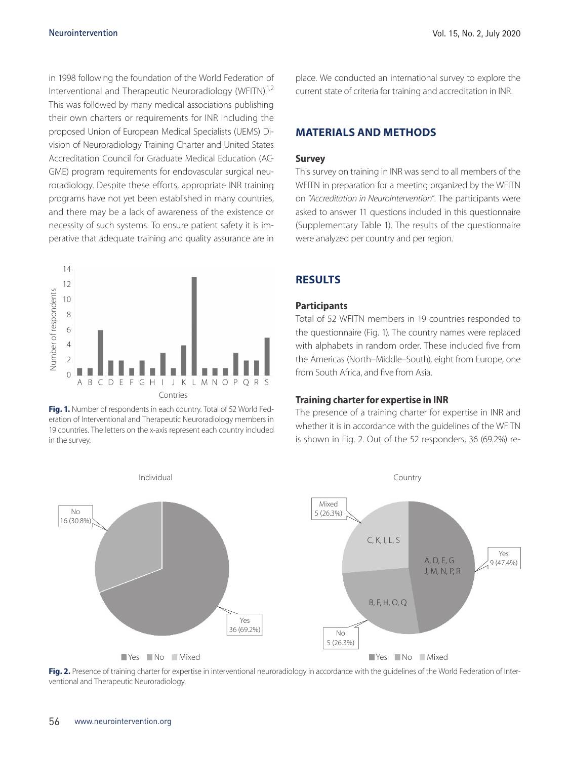in 1998 following the foundation of the World Federation of Interventional and Therapeutic Neuroradiology (WFITN).<sup>1,2</sup> This was followed by many medical associations publishing their own charters or requirements for INR including the proposed Union of European Medical Specialists (UEMS) Division of Neuroradiology Training Charter and United States Accreditation Council for Graduate Medical Education (AC-GME) program requirements for endovascular surgical neuroradiology. Despite these efforts, appropriate INR training programs have not yet been established in many countries, and there may be a lack of awareness of the existence or necessity of such systems. To ensure patient safety it is imperative that adequate training and quality assurance are in



**Fig. 1.** Number of respondents in each country. Total of 52 World Federation of Interventional and Therapeutic Neuroradiology members in 19 countries. The letters on the x-axis represent each country included

place. We conducted an international survey to explore the current state of criteria for training and accreditation in INR.

### **MATERIALS AND METHODS**

#### **Survey**

This survey on training in INR was send to all members of the WFITN in preparation for a meeting organized by the WFITN on "*Accreditation in NeuroIntervention*". The participants were asked to answer 11 questions included in this questionnaire (Supplementary Table 1). The results of the questionnaire were analyzed per country and per region.

### **RESULTS**

#### **Participants**

Total of 52 WFITN members in 19 countries responded to the questionnaire (Fig. 1). The country names were replaced with alphabets in random order. These included five from the Americas (North–Middle–South), eight from Europe, one from South Africa, and five from Asia.

#### **Training charter for expertise in INR**

The presence of a training charter for expertise in INR and whether it is in accordance with the guidelines of the WFITN is shown in Fig. 2. Out of the 52 responders, 36 (69.2%) re-



Fig. 2. Presence of training charter for expertise in interventional neuroradiology in accordance with the guidelines of the World Federation of Interventional and Therapeutic Neuroradiology.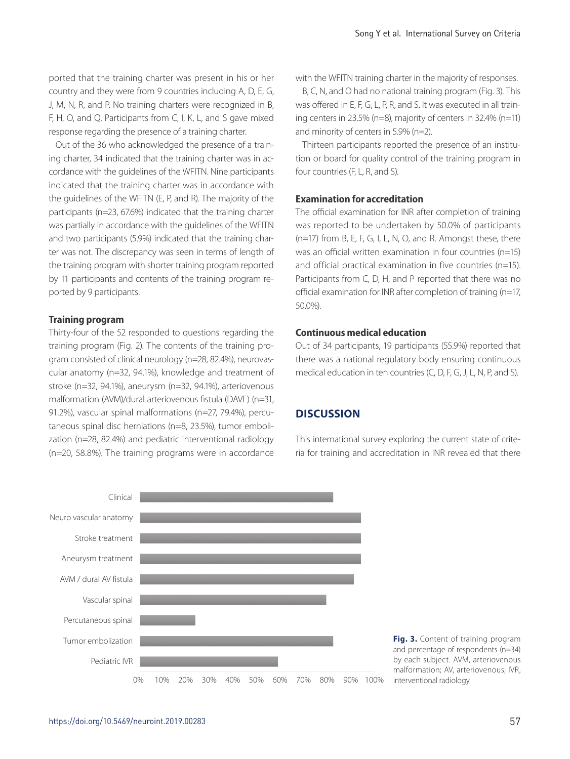ported that the training charter was present in his or her country and they were from 9 countries including A, D, E, G, J, M, N, R, and P. No training charters were recognized in B, F, H, O, and Q. Participants from C, I, K, L, and S gave mixed response regarding the presence of a training charter.

Out of the 36 who acknowledged the presence of a training charter, 34 indicated that the training charter was in accordance with the guidelines of the WFITN. Nine participants indicated that the training charter was in accordance with the guidelines of the WFITN (E, P, and R). The majority of the participants (n=23, 67.6%) indicated that the training charter was partially in accordance with the guidelines of the WFITN and two participants (5.9%) indicated that the training charter was not. The discrepancy was seen in terms of length of the training program with shorter training program reported by 11 participants and contents of the training program reported by 9 participants.

#### **Training program**

Thirty-four of the 52 responded to questions regarding the training program (Fig. 2). The contents of the training program consisted of clinical neurology (n=28, 82.4%), neurovascular anatomy (n=32, 94.1%), knowledge and treatment of stroke (n=32, 94.1%), aneurysm (n=32, 94.1%), arteriovenous malformation (AVM)/dural arteriovenous fistula (DAVF) (n=31, 91.2%), vascular spinal malformations (n=27, 79.4%), percutaneous spinal disc herniations (n=8, 23.5%), tumor embolization (n=28, 82.4%) and pediatric interventional radiology (n=20, 58.8%). The training programs were in accordance with the WFITN training charter in the majority of responses.

B, C, N, and O had no national training program (Fig. 3). This was offered in E, F, G, L, P, R, and S. It was executed in all training centers in 23.5% (n=8), majority of centers in 32.4% (n=11) and minority of centers in 5.9% (n=2).

Thirteen participants reported the presence of an institution or board for quality control of the training program in four countries (F, L, R, and S).

### **Examination for accreditation**

The official examination for INR after completion of training was reported to be undertaken by 50.0% of participants (n=17) from B, E, F, G, I, L, N, O, and R. Amongst these, there was an official written examination in four countries (n=15) and official practical examination in five countries (n=15). Participants from C, D, H, and P reported that there was no official examination for INR after completion of training (n=17, 50.0%).

#### **Continuous medical education**

Out of 34 participants, 19 participants (55.9%) reported that there was a national regulatory body ensuring continuous medical education in ten countries (C, D, F, G, J, L, N, P, and S).

### **DISCUSSION**

This international survey exploring the current state of criteria for training and accreditation in INR revealed that there



**Fig. 3.** Content of training program and percentage of respondents (n=34) by each subject. AVM, arteriovenous malformation; AV, arteriovenous; IVR, interventional radiology.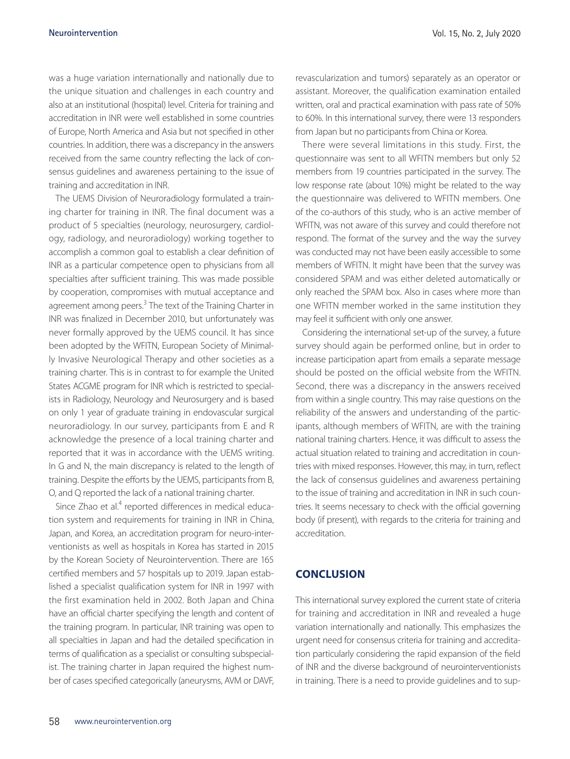was a huge variation internationally and nationally due to the unique situation and challenges in each country and also at an institutional (hospital) level. Criteria for training and accreditation in INR were well established in some countries of Europe, North America and Asia but not specified in other countries. In addition, there was a discrepancy in the answers received from the same country reflecting the lack of consensus guidelines and awareness pertaining to the issue of training and accreditation in INR.

The UEMS Division of Neuroradiology formulated a training charter for training in INR. The final document was a product of 5 specialties (neurology, neurosurgery, cardiology, radiology, and neuroradiology) working together to accomplish a common goal to establish a clear definition of INR as a particular competence open to physicians from all specialties after sufficient training. This was made possible by cooperation, compromises with mutual acceptance and agreement among peers.<sup>3</sup> The text of the Training Charter in INR was finalized in December 2010, but unfortunately was never formally approved by the UEMS council. It has since been adopted by the WFITN, European Society of Minimally Invasive Neurological Therapy and other societies as a training charter. This is in contrast to for example the United States ACGME program for INR which is restricted to specialists in Radiology, Neurology and Neurosurgery and is based on only 1 year of graduate training in endovascular surgical neuroradiology. In our survey, participants from E and R acknowledge the presence of a local training charter and reported that it was in accordance with the UEMS writing. In G and N, the main discrepancy is related to the length of training. Despite the efforts by the UEMS, participants from B, O, and Q reported the lack of a national training charter.

Since Zhao et al.<sup>4</sup> reported differences in medical education system and requirements for training in INR in China, Japan, and Korea, an accreditation program for neuro-interventionists as well as hospitals in Korea has started in 2015 by the Korean Society of Neurointervention. There are 165 certified members and 57 hospitals up to 2019. Japan established a specialist qualification system for INR in 1997 with the first examination held in 2002. Both Japan and China have an official charter specifying the length and content of the training program. In particular, INR training was open to all specialties in Japan and had the detailed specification in terms of qualification as a specialist or consulting subspecialist. The training charter in Japan required the highest number of cases specified categorically (aneurysms, AVM or DAVF, revascularization and tumors) separately as an operator or assistant. Moreover, the qualification examination entailed written, oral and practical examination with pass rate of 50% to 60%. In this international survey, there were 13 responders from Japan but no participants from China or Korea.

There were several limitations in this study. First, the questionnaire was sent to all WFITN members but only 52 members from 19 countries participated in the survey. The low response rate (about 10%) might be related to the way the questionnaire was delivered to WFITN members. One of the co-authors of this study, who is an active member of WFITN, was not aware of this survey and could therefore not respond. The format of the survey and the way the survey was conducted may not have been easily accessible to some members of WFITN. It might have been that the survey was considered SPAM and was either deleted automatically or only reached the SPAM box. Also in cases where more than one WFITN member worked in the same institution they may feel it sufficient with only one answer.

Considering the international set-up of the survey, a future survey should again be performed online, but in order to increase participation apart from emails a separate message should be posted on the official website from the WFITN. Second, there was a discrepancy in the answers received from within a single country. This may raise questions on the reliability of the answers and understanding of the participants, although members of WFITN, are with the training national training charters. Hence, it was difficult to assess the actual situation related to training and accreditation in countries with mixed responses. However, this may, in turn, reflect the lack of consensus guidelines and awareness pertaining to the issue of training and accreditation in INR in such countries. It seems necessary to check with the official governing body (if present), with regards to the criteria for training and accreditation.

### **CONCLUSION**

This international survey explored the current state of criteria for training and accreditation in INR and revealed a huge variation internationally and nationally. This emphasizes the urgent need for consensus criteria for training and accreditation particularly considering the rapid expansion of the field of INR and the diverse background of neurointerventionists in training. There is a need to provide guidelines and to sup